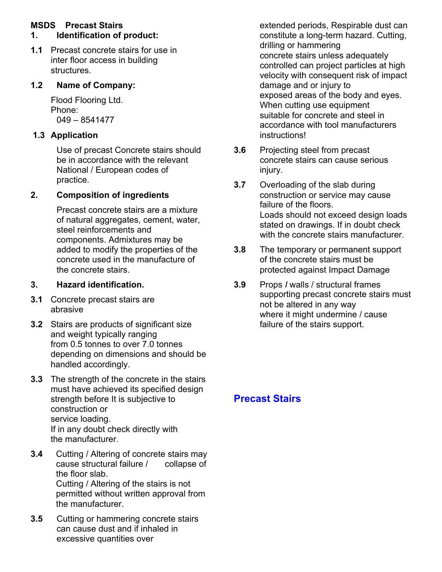## **MSDS Precast Stairs**

### **1. Identification of product:**

**1.1** Precast concrete stairs for use in inter floor access in building structures.

#### **1.2 Name of Company:**

Flood Flooring Ltd. Phone: 049 – 8541477

## **1.3 Application**

Use of precast Concrete stairs should be in accordance with the relevant National / European codes of practice.

#### **2. Composition of ingredients**

Precast concrete stairs are a mixture of natural aggregates, cement, water, steel reinforcements and components. Admixtures may be added to modify the properties of the concrete used in the manufacture of the concrete stairs.

#### **3. Hazard identification.**

- **3.1** Concrete precast stairs are abrasive
- **3.2** Stairs are products of significant size and weight typically ranging from 0.5 tonnes to over 7.0 tonnes depending on dimensions and should be handled accordingly.
- **3.3** The strength of the concrete in the stairs must have achieved its specified design strength before It is subjective to construction or service loading. If in any doubt check directly with the manufacturer.
- **3.4** Cutting / Altering of concrete stairs may cause structural failure / collapse of the floor slab. Cutting / Altering of the stairs is not permitted without written approval from the manufacturer.
- **3.5** Cutting or hammering concrete stairs can cause dust and if inhaled in excessive quantities over

extended periods, Respirable dust can constitute a long-term hazard. Cutting, drilling or hammering concrete stairs unless adequately controlled can project particles at high velocity with consequent risk of impact damage and or injury to exposed areas of the body and eyes. When cutting use equipment suitable for concrete and steel in accordance with tool manufacturers instructions!

- **3.6** Projecting steel from precast concrete stairs can cause serious injury.
- **3.7** Overloading of the slab during construction or service may cause failure of the floors. Loads should not exceed design loads stated on drawings. If in doubt check with the concrete stairs manufacturer.
- **3.8** The temporary or permanent support of the concrete stairs must be protected against Impact Damage
- **3.9** Props *I* walls / structural frames supporting precast concrete stairs must not be altered in any way where it might undermine / cause failure of the stairs support.

# **Precast Stairs**